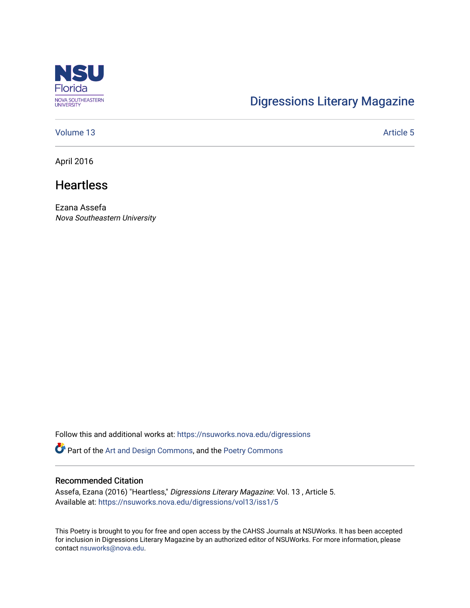

# [Digressions Literary Magazine](https://nsuworks.nova.edu/digressions)

### [Volume 13](https://nsuworks.nova.edu/digressions/vol13) Article 5

April 2016

## **Heartless**

Ezana Assefa Nova Southeastern University

Follow this and additional works at: [https://nsuworks.nova.edu/digressions](https://nsuworks.nova.edu/digressions?utm_source=nsuworks.nova.edu%2Fdigressions%2Fvol13%2Fiss1%2F5&utm_medium=PDF&utm_campaign=PDFCoverPages) 

Part of the [Art and Design Commons](http://network.bepress.com/hgg/discipline/1049?utm_source=nsuworks.nova.edu%2Fdigressions%2Fvol13%2Fiss1%2F5&utm_medium=PDF&utm_campaign=PDFCoverPages), and the [Poetry Commons](http://network.bepress.com/hgg/discipline/1153?utm_source=nsuworks.nova.edu%2Fdigressions%2Fvol13%2Fiss1%2F5&utm_medium=PDF&utm_campaign=PDFCoverPages) 

#### Recommended Citation

Assefa, Ezana (2016) "Heartless," Digressions Literary Magazine: Vol. 13 , Article 5. Available at: [https://nsuworks.nova.edu/digressions/vol13/iss1/5](https://nsuworks.nova.edu/digressions/vol13/iss1/5?utm_source=nsuworks.nova.edu%2Fdigressions%2Fvol13%2Fiss1%2F5&utm_medium=PDF&utm_campaign=PDFCoverPages) 

This Poetry is brought to you for free and open access by the CAHSS Journals at NSUWorks. It has been accepted for inclusion in Digressions Literary Magazine by an authorized editor of NSUWorks. For more information, please contact [nsuworks@nova.edu.](mailto:nsuworks@nova.edu)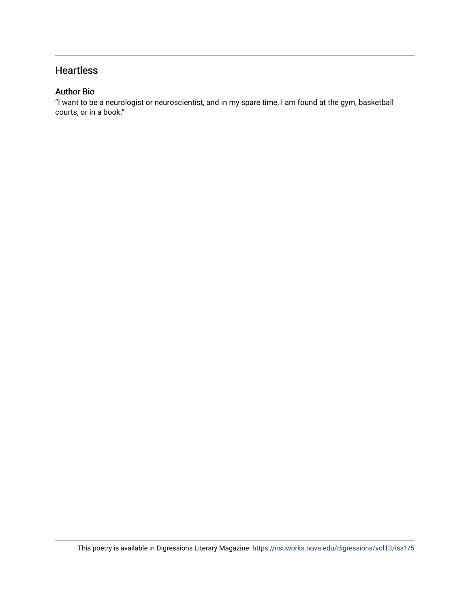### **Heartless**

### Author Bio

"I want to be a neurologist or neuroscientist, and in my spare time, I am found at the gym, basketball courts, or in a book."